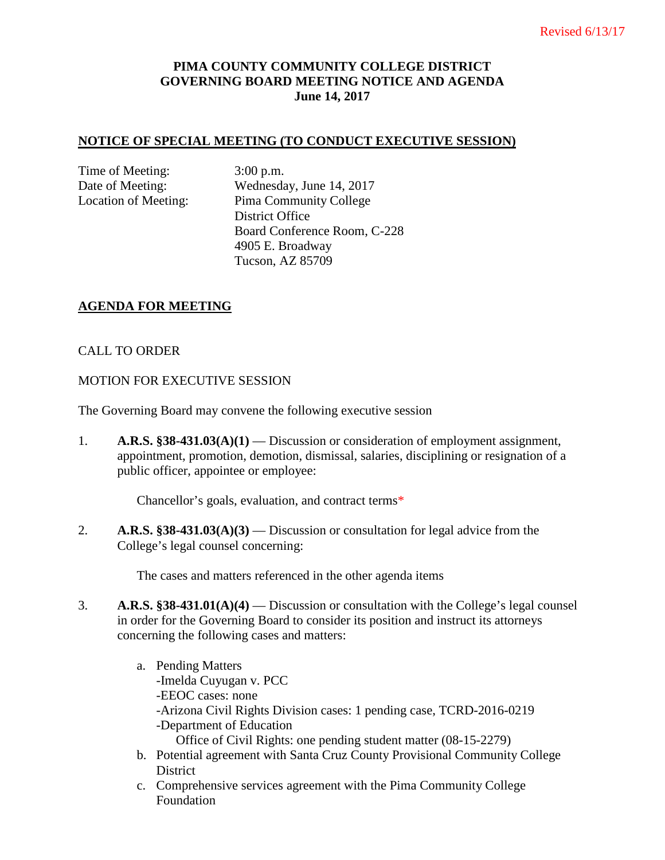# **PIMA COUNTY COMMUNITY COLLEGE DISTRICT GOVERNING BOARD MEETING NOTICE AND AGENDA June 14, 2017**

#### **NOTICE OF SPECIAL MEETING (TO CONDUCT EXECUTIVE SESSION)**

Time of Meeting: 3:00 p.m.

Date of Meeting: Wednesday, June 14, 2017 Location of Meeting: Pima Community College District Office Board Conference Room, C-228 4905 E. Broadway Tucson, AZ 85709

### **AGENDA FOR MEETING**

### CALL TO ORDER

#### MOTION FOR EXECUTIVE SESSION

The Governing Board may convene the following executive session

1. **A.R.S. §38-431.03(A)(1)** — Discussion or consideration of employment assignment, appointment, promotion, demotion, dismissal, salaries, disciplining or resignation of a public officer, appointee or employee:

Chancellor's goals, evaluation, and contract terms\*

2. **A.R.S. §38-431.03(A)(3)** — Discussion or consultation for legal advice from the College's legal counsel concerning:

The cases and matters referenced in the other agenda items

- 3. **A.R.S. §38-431.01(A)(4)** Discussion or consultation with the College's legal counsel in order for the Governing Board to consider its position and instruct its attorneys concerning the following cases and matters:
	- a. Pending Matters -Imelda Cuyugan v. PCC -EEOC cases: none -Arizona Civil Rights Division cases: 1 pending case, TCRD-2016-0219 -Department of Education Office of Civil Rights: one pending student matter (08-15-2279)
	- b. Potential agreement with Santa Cruz County Provisional Community College District
	- c. Comprehensive services agreement with the Pima Community College Foundation